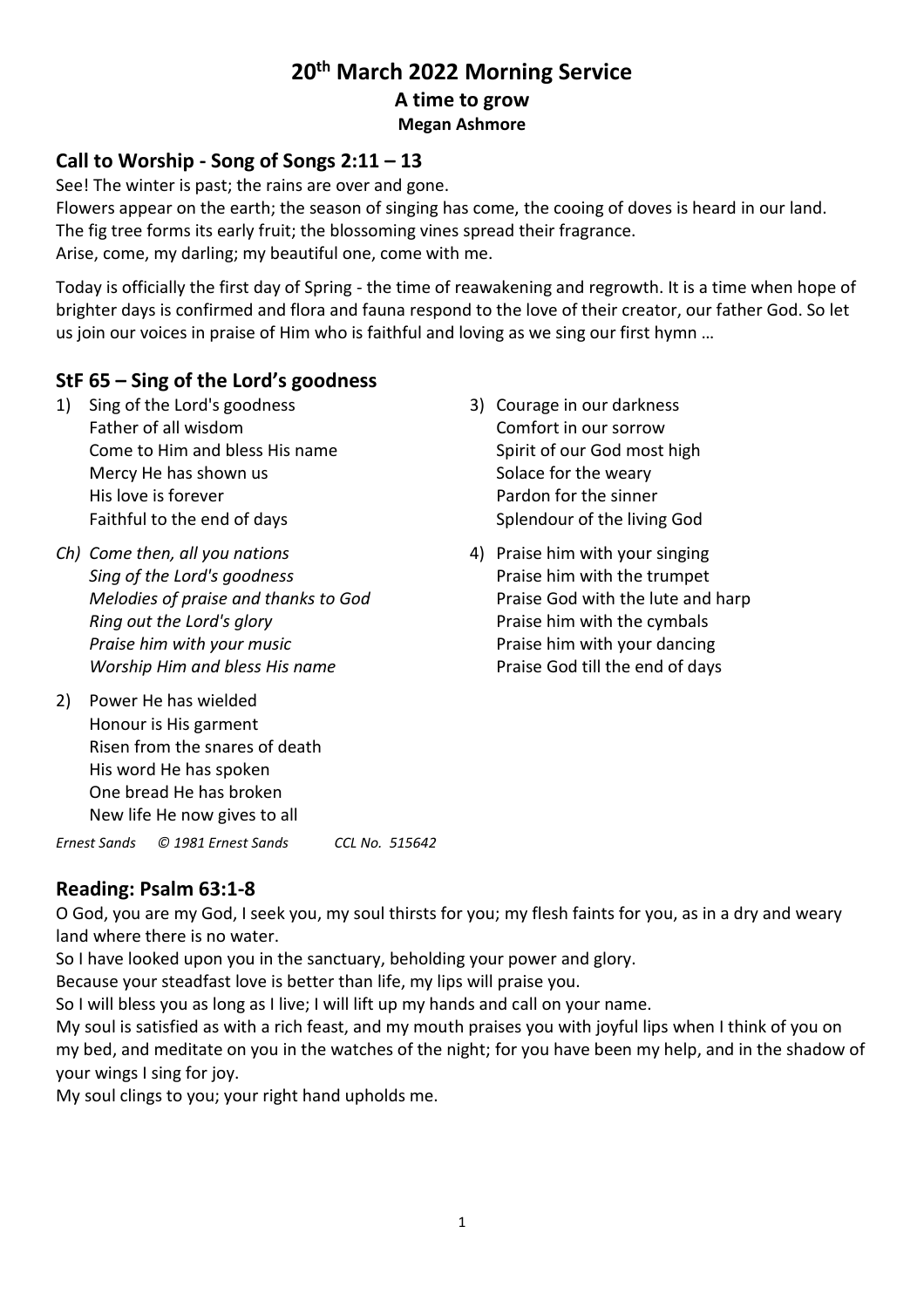# **20th March 2022 Morning Service A time to grow Megan Ashmore**

# **Call to Worship - Song of Songs 2:11 – 13**

See! The winter is past; the rains are over and gone.

Flowers appear on the earth; the season of singing has come, the cooing of doves is heard in our land. The fig tree forms its early fruit; the blossoming vines spread their fragrance. Arise, come, my darling; my beautiful one, come with me.

Today is officially the first day of Spring - the time of reawakening and regrowth. It is a time when hope of brighter days is confirmed and flora and fauna respond to the love of their creator, our father God. So let us join our voices in praise of Him who is faithful and loving as we sing our first hymn …

### **StF 65 – Sing of the Lord's goodness**

- 1) Sing of the Lord's goodness Father of all wisdom Come to Him and bless His name Mercy He has shown us His love is forever Faithful to the end of days
- *Ch) Come then, all you nations Sing of the Lord's goodness Melodies of praise and thanks to God Ring out the Lord's glory Praise him with your music Worship Him and bless His name*
- 3) Courage in our darkness Comfort in our sorrow Spirit of our God most high Solace for the weary Pardon for the sinner Splendour of the living God
- 4) Praise him with your singing Praise him with the trumpet Praise God with the lute and harp Praise him with the cymbals Praise him with your dancing Praise God till the end of days
- 2) Power He has wielded Honour is His garment Risen from the snares of death His word He has spoken One bread He has broken New life He now gives to all

*Ernest Sands © 1981 Ernest Sands CCL No. 515642*

# **Reading: Psalm 63:1-8**

O God, you are my God, I seek you, my soul thirsts for you; my flesh faints for you, as in a dry and weary land where there is no water.

So I have looked upon you in the sanctuary, beholding your power and glory.

Because your steadfast love is better than life, my lips will praise you.

So I will bless you as long as I live; I will lift up my hands and call on your name.

My soul is satisfied as with a rich feast, and my mouth praises you with joyful lips when I think of you on my bed, and meditate on you in the watches of the night; for you have been my help, and in the shadow of your wings I sing for joy.

My soul clings to you; your right hand upholds me.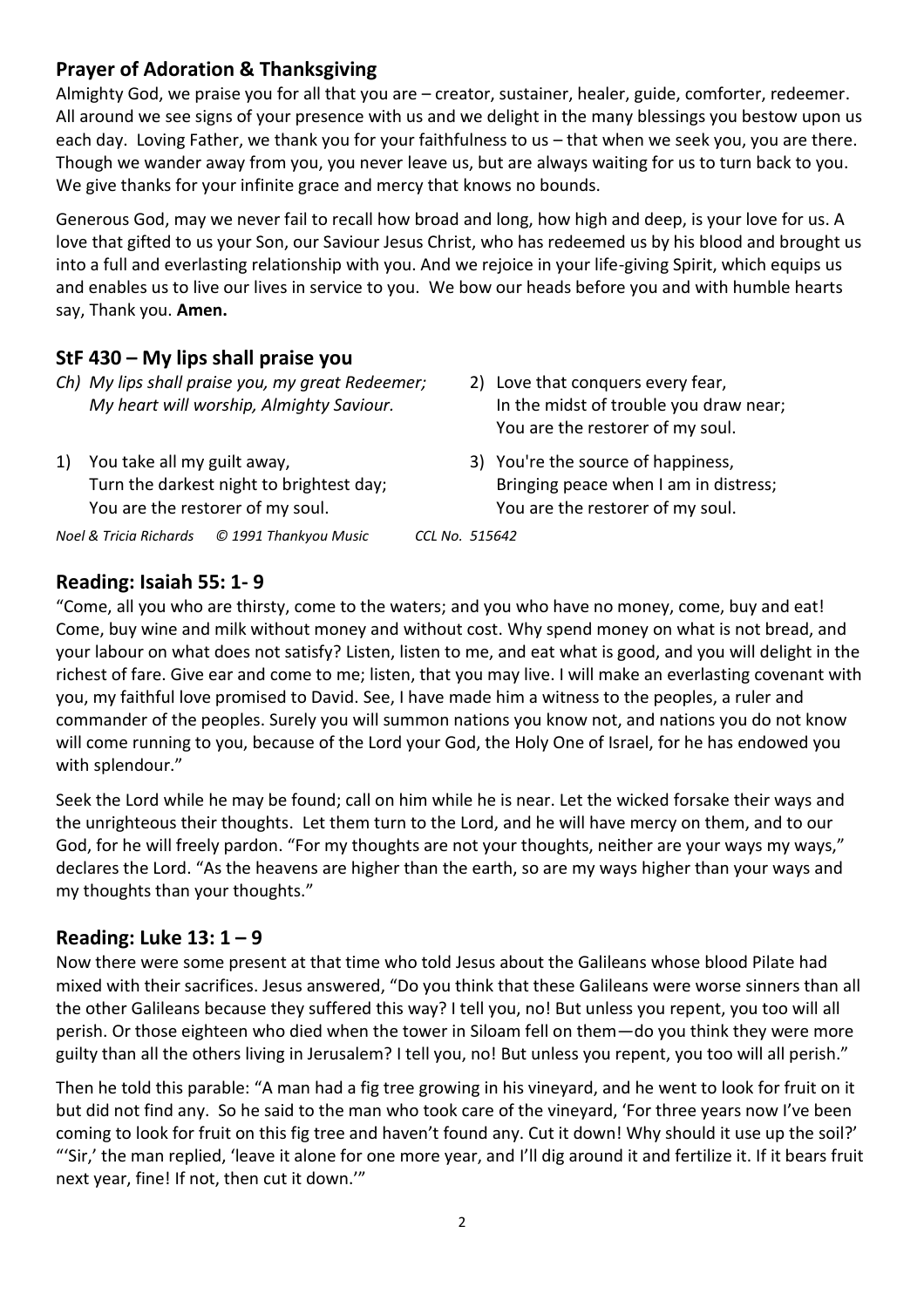# **Prayer of Adoration & Thanksgiving**

Almighty God, we praise you for all that you are – creator, sustainer, healer, guide, comforter, redeemer. All around we see signs of your presence with us and we delight in the many blessings you bestow upon us each day. Loving Father, we thank you for your faithfulness to us – that when we seek you, you are there. Though we wander away from you, you never leave us, but are always waiting for us to turn back to you. We give thanks for your infinite grace and mercy that knows no bounds.

Generous God, may we never fail to recall how broad and long, how high and deep, is your love for us. A love that gifted to us your Son, our Saviour Jesus Christ, who has redeemed us by his blood and brought us into a full and everlasting relationship with you. And we rejoice in your life-giving Spirit, which equips us and enables us to live our lives in service to you. We bow our heads before you and with humble hearts say, Thank you. **Amen.**

# **StF 430 – My lips shall praise you**

- *Ch) My lips shall praise you, my great Redeemer; My heart will worship, Almighty Saviour.*
- 1) You take all my guilt away, Turn the darkest night to brightest day; You are the restorer of my soul.
- 2) Love that conquers every fear, In the midst of trouble you draw near; You are the restorer of my soul.
- 3) You're the source of happiness, Bringing peace when I am in distress; You are the restorer of my soul.

*Noel & Tricia Richards © 1991 Thankyou Music CCL No. 515642*

# **Reading: Isaiah 55: 1- 9**

"Come, all you who are thirsty, come to the waters; and you who have no money, come, buy and eat! Come, buy wine and milk without money and without cost. Why spend money on what is not bread, and your labour on what does not satisfy? Listen, listen to me, and eat what is good, and you will delight in the richest of fare. Give ear and come to me; listen, that you may live. I will make an everlasting covenant with you, my faithful love promised to David. See, I have made him a witness to the peoples, a ruler and commander of the peoples. Surely you will summon nations you know not, and nations you do not know will come running to you, because of the Lord your God, the Holy One of Israel, for he has endowed you with splendour."

Seek the Lord while he may be found; call on him while he is near. Let the wicked forsake their ways and the unrighteous their thoughts. Let them turn to the Lord, and he will have mercy on them, and to our God, for he will freely pardon. "For my thoughts are not your thoughts, neither are your ways my ways," declares the Lord. "As the heavens are higher than the earth, so are my ways higher than your ways and my thoughts than your thoughts."

# **Reading: Luke 13: 1 – 9**

Now there were some present at that time who told Jesus about the Galileans whose blood Pilate had mixed with their sacrifices. Jesus answered, "Do you think that these Galileans were worse sinners than all the other Galileans because they suffered this way? I tell you, no! But unless you repent, you too will all perish. Or those eighteen who died when the tower in Siloam fell on them—do you think they were more guilty than all the others living in Jerusalem? I tell you, no! But unless you repent, you too will all perish."

Then he told this parable: "A man had a fig tree growing in his vineyard, and he went to look for fruit on it but did not find any. So he said to the man who took care of the vineyard, 'For three years now I've been coming to look for fruit on this fig tree and haven't found any. Cut it down! Why should it use up the soil?' "'Sir,' the man replied, 'leave it alone for one more year, and I'll dig around it and fertilize it. If it bears fruit next year, fine! If not, then cut it down.'"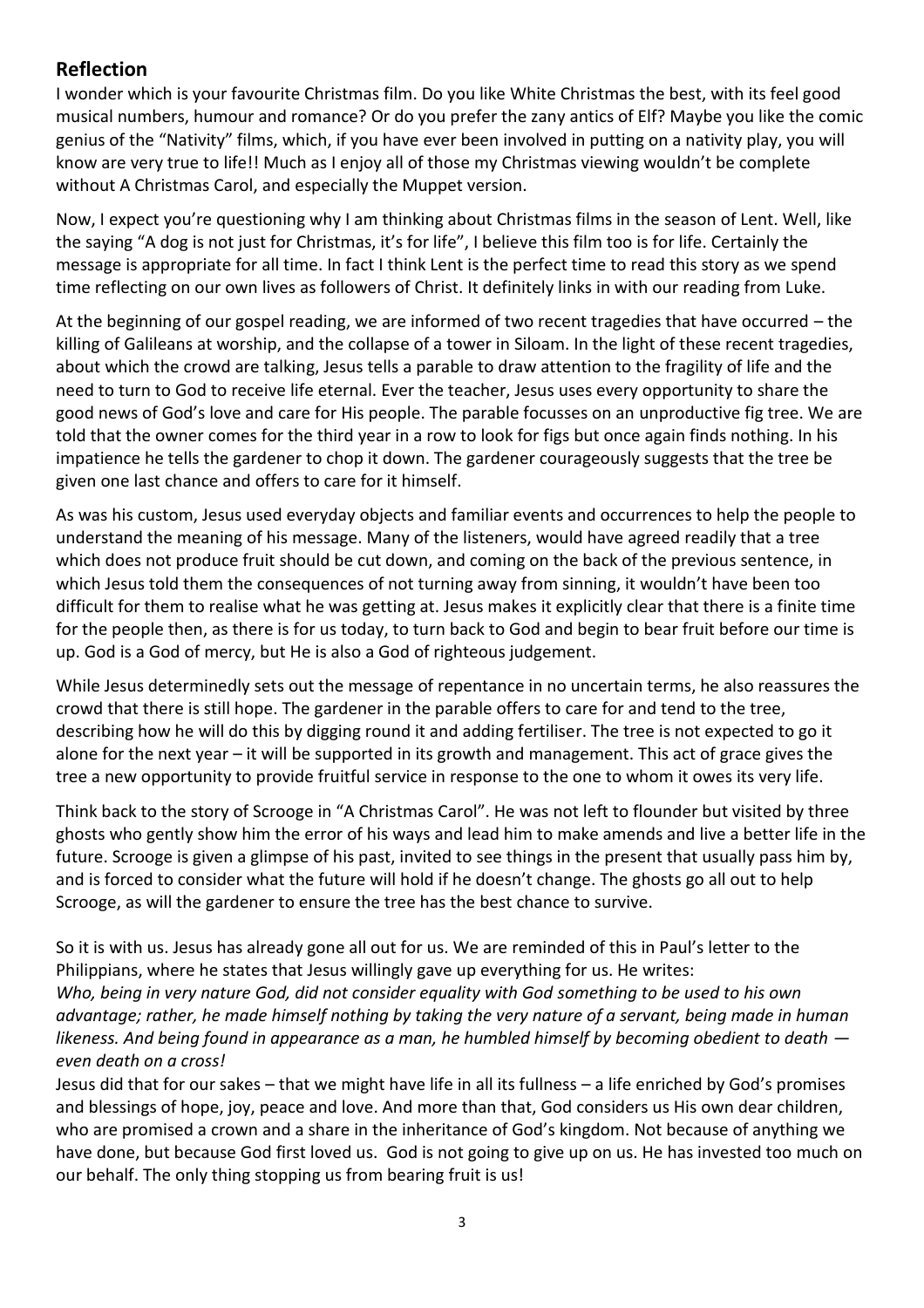### **Reflection**

I wonder which is your favourite Christmas film. Do you like White Christmas the best, with its feel good musical numbers, humour and romance? Or do you prefer the zany antics of Elf? Maybe you like the comic genius of the "Nativity" films, which, if you have ever been involved in putting on a nativity play, you will know are very true to life!! Much as I enjoy all of those my Christmas viewing wouldn't be complete without A Christmas Carol, and especially the Muppet version.

Now, I expect you're questioning why I am thinking about Christmas films in the season of Lent. Well, like the saying "A dog is not just for Christmas, it's for life", I believe this film too is for life. Certainly the message is appropriate for all time. In fact I think Lent is the perfect time to read this story as we spend time reflecting on our own lives as followers of Christ. It definitely links in with our reading from Luke.

At the beginning of our gospel reading, we are informed of two recent tragedies that have occurred – the killing of Galileans at worship, and the collapse of a tower in Siloam. In the light of these recent tragedies, about which the crowd are talking, Jesus tells a parable to draw attention to the fragility of life and the need to turn to God to receive life eternal. Ever the teacher, Jesus uses every opportunity to share the good news of God's love and care for His people. The parable focusses on an unproductive fig tree. We are told that the owner comes for the third year in a row to look for figs but once again finds nothing. In his impatience he tells the gardener to chop it down. The gardener courageously suggests that the tree be given one last chance and offers to care for it himself.

As was his custom, Jesus used everyday objects and familiar events and occurrences to help the people to understand the meaning of his message. Many of the listeners, would have agreed readily that a tree which does not produce fruit should be cut down, and coming on the back of the previous sentence, in which Jesus told them the consequences of not turning away from sinning, it wouldn't have been too difficult for them to realise what he was getting at. Jesus makes it explicitly clear that there is a finite time for the people then, as there is for us today, to turn back to God and begin to bear fruit before our time is up. God is a God of mercy, but He is also a God of righteous judgement.

While Jesus determinedly sets out the message of repentance in no uncertain terms, he also reassures the crowd that there is still hope. The gardener in the parable offers to care for and tend to the tree, describing how he will do this by digging round it and adding fertiliser. The tree is not expected to go it alone for the next year – it will be supported in its growth and management. This act of grace gives the tree a new opportunity to provide fruitful service in response to the one to whom it owes its very life.

Think back to the story of Scrooge in "A Christmas Carol". He was not left to flounder but visited by three ghosts who gently show him the error of his ways and lead him to make amends and live a better life in the future. Scrooge is given a glimpse of his past, invited to see things in the present that usually pass him by, and is forced to consider what the future will hold if he doesn't change. The ghosts go all out to help Scrooge, as will the gardener to ensure the tree has the best chance to survive.

So it is with us. Jesus has already gone all out for us. We are reminded of this in Paul's letter to the Philippians, where he states that Jesus willingly gave up everything for us. He writes: *Who, being in very nature God, did not consider equality with God something to be used to his own advantage; rather, he made himself nothing by taking the very nature of a servant, being made in human likeness. And being found in appearance as a man, he humbled himself by becoming obedient to death even death on a cross!*

Jesus did that for our sakes – that we might have life in all its fullness – a life enriched by God's promises and blessings of hope, joy, peace and love. And more than that, God considers us His own dear children, who are promised a crown and a share in the inheritance of God's kingdom. Not because of anything we have done, but because God first loved us. God is not going to give up on us. He has invested too much on our behalf. The only thing stopping us from bearing fruit is us!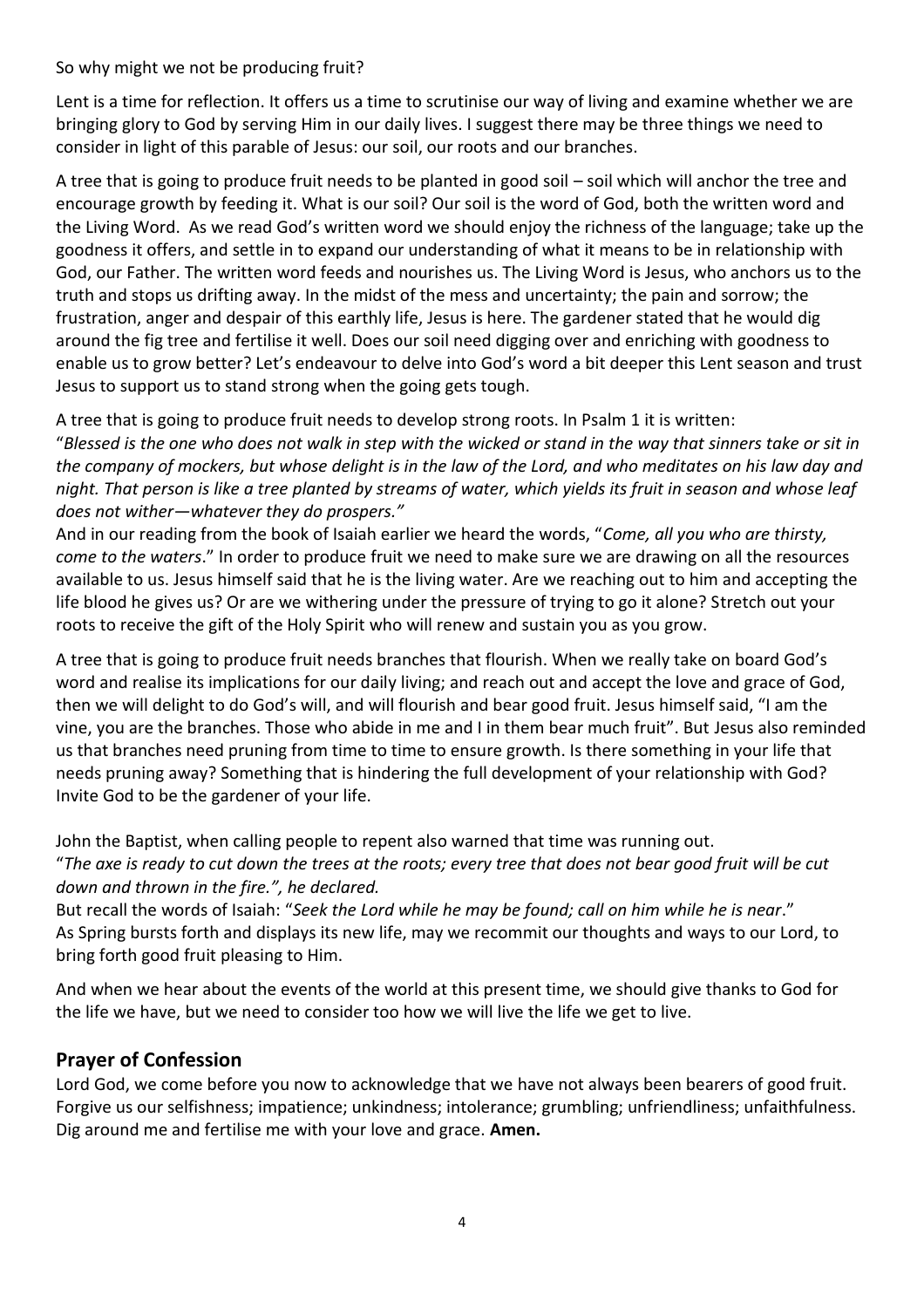So why might we not be producing fruit?

Lent is a time for reflection. It offers us a time to scrutinise our way of living and examine whether we are bringing glory to God by serving Him in our daily lives. I suggest there may be three things we need to consider in light of this parable of Jesus: our soil, our roots and our branches.

A tree that is going to produce fruit needs to be planted in good soil – soil which will anchor the tree and encourage growth by feeding it. What is our soil? Our soil is the word of God, both the written word and the Living Word. As we read God's written word we should enjoy the richness of the language; take up the goodness it offers, and settle in to expand our understanding of what it means to be in relationship with God, our Father. The written word feeds and nourishes us. The Living Word is Jesus, who anchors us to the truth and stops us drifting away. In the midst of the mess and uncertainty; the pain and sorrow; the frustration, anger and despair of this earthly life, Jesus is here. The gardener stated that he would dig around the fig tree and fertilise it well. Does our soil need digging over and enriching with goodness to enable us to grow better? Let's endeavour to delve into God's word a bit deeper this Lent season and trust Jesus to support us to stand strong when the going gets tough.

A tree that is going to produce fruit needs to develop strong roots. In Psalm 1 it is written: "*Blessed is the one who does not walk in step with the wicked or stand in the way that sinners take or sit in the company of mockers, but whose delight is in the law of the Lord, and who meditates on his law day and night. That person is like a tree planted by streams of water, which yields its fruit in season and whose leaf does not wither—whatever they do prospers."*

And in our reading from the book of Isaiah earlier we heard the words, "*Come, all you who are thirsty, come to the waters*." In order to produce fruit we need to make sure we are drawing on all the resources available to us. Jesus himself said that he is the living water. Are we reaching out to him and accepting the life blood he gives us? Or are we withering under the pressure of trying to go it alone? Stretch out your roots to receive the gift of the Holy Spirit who will renew and sustain you as you grow.

A tree that is going to produce fruit needs branches that flourish. When we really take on board God's word and realise its implications for our daily living; and reach out and accept the love and grace of God, then we will delight to do God's will, and will flourish and bear good fruit. Jesus himself said, "I am the vine, you are the branches. Those who abide in me and I in them bear much fruit". But Jesus also reminded us that branches need pruning from time to time to ensure growth. Is there something in your life that needs pruning away? Something that is hindering the full development of your relationship with God? Invite God to be the gardener of your life.

John the Baptist, when calling people to repent also warned that time was running out. "*The axe is ready to cut down the trees at the roots; every tree that does not bear good fruit will be cut down and thrown in the fire.", he declared.* 

But recall the words of Isaiah: "*Seek the Lord while he may be found; call on him while he is near*." As Spring bursts forth and displays its new life, may we recommit our thoughts and ways to our Lord, to bring forth good fruit pleasing to Him.

And when we hear about the events of the world at this present time, we should give thanks to God for the life we have, but we need to consider too how we will live the life we get to live.

# **Prayer of Confession**

Lord God, we come before you now to acknowledge that we have not always been bearers of good fruit. Forgive us our selfishness; impatience; unkindness; intolerance; grumbling; unfriendliness; unfaithfulness. Dig around me and fertilise me with your love and grace. **Amen.**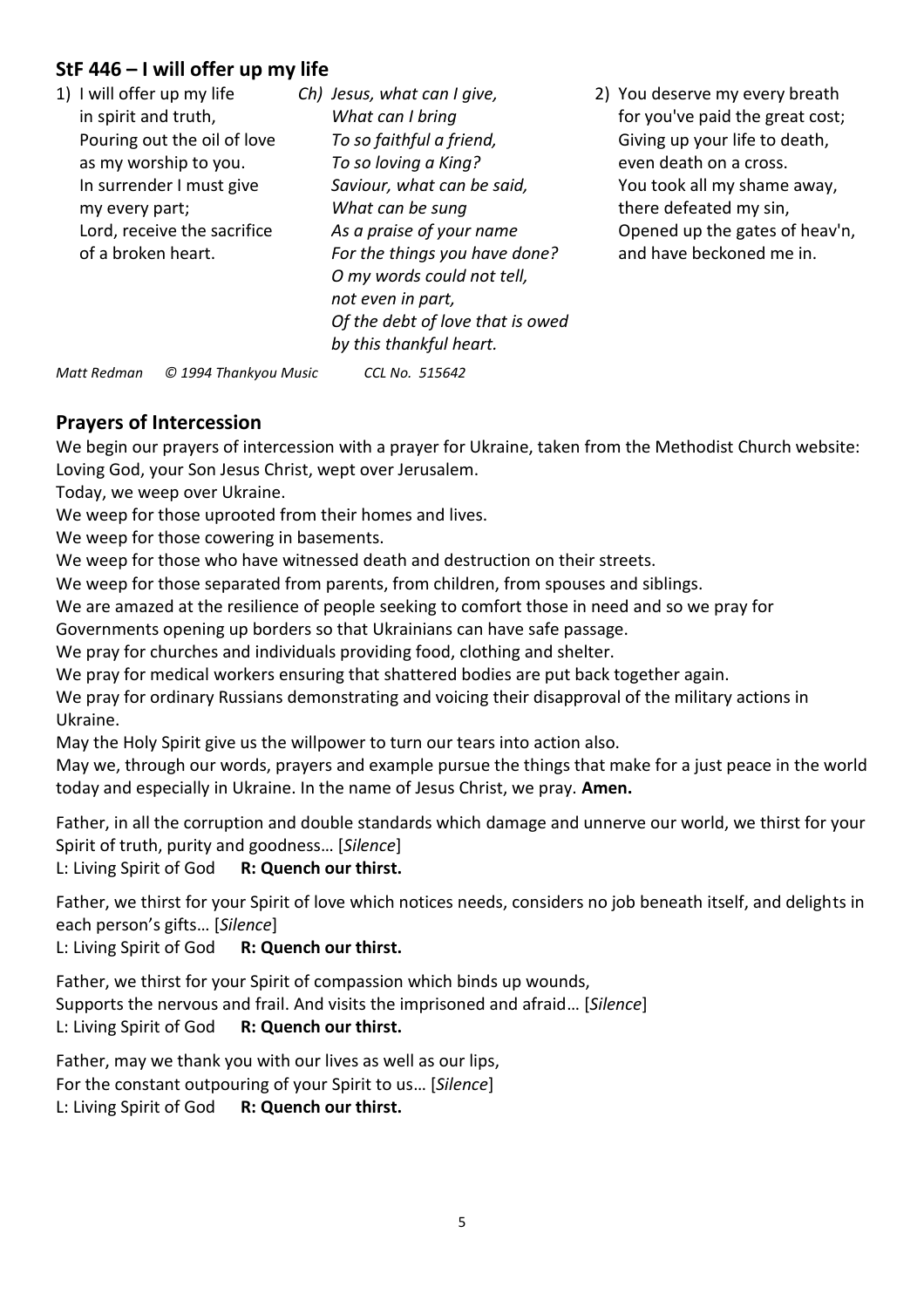# **StF 446 – I will offer up my life**

| 1) | I will offer up my life     | Ch) Jesus, what can I give,      | 2) |
|----|-----------------------------|----------------------------------|----|
|    | in spirit and truth,        | What can I bring                 |    |
|    | Pouring out the oil of love | To so faithful a friend,         |    |
|    | as my worship to you.       | To so loving a King?             |    |
|    | In surrender I must give    | Saviour, what can be said,       |    |
|    | my every part;              | What can be sung                 |    |
|    | Lord, receive the sacrifice | As a praise of your name         |    |
|    | of a broken heart.          | For the things you have done?    |    |
|    |                             | O my words could not tell,       |    |
|    |                             | not even in part,                |    |
|    |                             | Of the debt of love that is owed |    |
|    |                             | by this thankful heart.          |    |
|    |                             |                                  |    |

You deserve my every breath for you've paid the great cost; Giving up your life to death, even death on a cross. You took all my shame away, there defeated my sin, Opened up the gates of heav'n, and have beckoned me in.

*Matt Redman © 1994 Thankyou Music CCL No. 515642*

#### **Prayers of Intercession**

We begin our prayers of intercession with a prayer for Ukraine, taken from the Methodist Church website: Loving God, your Son Jesus Christ, wept over Jerusalem.

Today, we weep over Ukraine.

We weep for those uprooted from their homes and lives.

We weep for those cowering in basements.

We weep for those who have witnessed death and destruction on their streets.

We weep for those separated from parents, from children, from spouses and siblings.

We are amazed at the resilience of people seeking to comfort those in need and so we pray for

Governments opening up borders so that Ukrainians can have safe passage.

We pray for churches and individuals providing food, clothing and shelter.

We pray for medical workers ensuring that shattered bodies are put back together again.

We pray for ordinary Russians demonstrating and voicing their disapproval of the military actions in Ukraine.

May the Holy Spirit give us the willpower to turn our tears into action also.

May we, through our words, prayers and example pursue the things that make for a just peace in the world today and especially in Ukraine. In the name of Jesus Christ, we pray. **Amen.**

Father, in all the corruption and double standards which damage and unnerve our world, we thirst for your Spirit of truth, purity and goodness… [*Silence*]

L: Living Spirit of God **R: Quench our thirst.**

Father, we thirst for your Spirit of love which notices needs, considers no job beneath itself, and delights in each person's gifts… [*Silence*]

L: Living Spirit of God **R: Quench our thirst.**

Father, we thirst for your Spirit of compassion which binds up wounds, Supports the nervous and frail. And visits the imprisoned and afraid… [*Silence*] L: Living Spirit of God **R: Quench our thirst.**

Father, may we thank you with our lives as well as our lips, For the constant outpouring of your Spirit to us… [*Silence*] L: Living Spirit of God **R: Quench our thirst.**